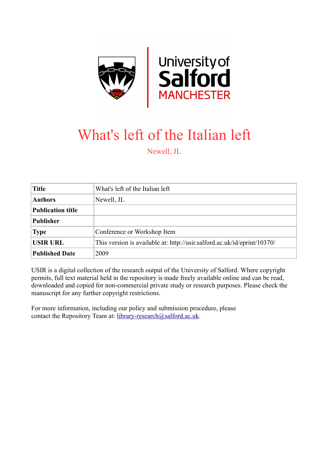

# What's left of the Italian left

Newell, JL

| <b>Title</b>             | What's left of the Italian left                                          |  |  |
|--------------------------|--------------------------------------------------------------------------|--|--|
| <b>Authors</b>           | Newell, JL                                                               |  |  |
| <b>Publication title</b> |                                                                          |  |  |
| <b>Publisher</b>         |                                                                          |  |  |
| <b>Type</b>              | Conference or Workshop Item                                              |  |  |
| <b>USIR URL</b>          | This version is available at: http://usir.salford.ac.uk/id/eprint/10370/ |  |  |
| <b>Published Date</b>    | 2009                                                                     |  |  |

USIR is a digital collection of the research output of the University of Salford. Where copyright permits, full text material held in the repository is made freely available online and can be read, downloaded and copied for non-commercial private study or research purposes. Please check the manuscript for any further copyright restrictions.

For more information, including our policy and submission procedure, please contact the Repository Team at: [library-research@salford.ac.uk.](mailto:library-research@salford.ac.uk)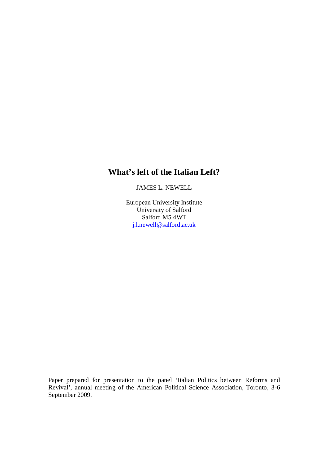# **What's left of the Italian Left?**

JAMES L. NEWELL

European University Institute University of Salford Salford M5 4WT j.l.newell@salford.ac.uk

Paper prepared for presentation to the panel 'Italian Politics between Reforms and Revival', annual meeting of the American Political Science Association, Toronto, 3-6 September 2009.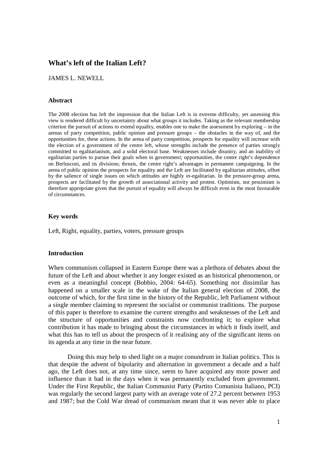# **What's left of the Italian Left?**

# JAMES L. NEWELL

#### **Abstract**

The 2008 election has left the impression that the Italian Left is in extreme difficulty, yet assessing this view is rendered difficult by uncertainty about what groups it includes. Taking as the relevant membership criterion the pursuit of actions to extend equality, enables one to make the assessment by exploring – in the arenas of party competition, public opinion and pressure groups – the obstacles in the way of, and the opportunities for, these actions. In the arena of party competition, prospects for equality will increase with the election of a government of the centre left, whose strengths include the presence of parties strongly committed to egalitarianism, and a solid electoral base. Weaknesses include disunity, and an inability of egalitarian parties to pursue their goals when in government; opportunities, the centre right's dependence on Berlusconi, and its divisions; threats, the centre right's advantages in permanent campaigning. In the arena of public opinion the prospects for equality and the Left are facilitated by egalitarian attitudes, offset by the salience of single issues on which attitudes are highly *in*-egalitarian. In the pressure-group arena, prospects are facilitated by the growth of associational activity and protest. Optimism, not pessimism is therefore appropriate given that the pursuit of equality will always be difficult even in the most favourable of circumstances.

#### **Key words**

Left, Right, equality, parties, voters, pressure groups

#### **Introduction**

When communism collapsed in Eastern Europe there was a plethora of debates about the future of the Left and about whether it any longer existed as an historical phenomenon, or even as a meaningful concept (Bobbio, 2004: 64-65). Something not dissimilar has happened on a smaller scale in the wake of the Italian general election of 2008, the outcome of which, for the first time in the history of the Republic, left Parliament without a single member claiming to represent the socialist or communist traditions. The purpose of this paper is therefore to examine the current strengths and weaknesses of the Left and the structure of opportunities and constraints now confronting it; to explore what contribution it has made to bringing about the circumstances in which it finds itself, and what this has to tell us about the prospects of it realising any of the significant items on its agenda at any time in the near future.

Doing this may help to shed light on a major conundrum in Italian politics. This is that despite the advent of bipolarity and alternation in government a decade and a half ago, the Left does not, at any time since, seem to have acquired any more power and influence than it had in the days when it was permanently excluded from government. Under the First Republic, the Italian Communist Party (Partito Comunista Italiano, PCI) was regularly the second largest party with an average vote of 27.2 percent between 1953 and 1987; but the Cold War dread of communism meant that it was never able to place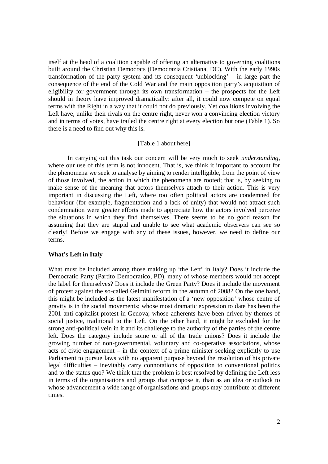itself at the head of a coalition capable of offering an alternative to governing coalitions built around the Christian Democrats (Democrazia Cristiana, DC). With the early 1990s transformation of the party system and its consequent 'unblocking' – in large part the consequence of the end of the Cold War and the main opposition party's acquisition of eligibility for government through its own transformation – the prospects for the Left should in theory have improved dramatically: after all, it could now compete on equal terms with the Right in a way that it could not do previously. Yet coalitions involving the Left have, unlike their rivals on the centre right, never won a convincing election victory and in terms of votes, have trailed the centre right at every election but one (Table 1). So there is a need to find out why this is.

#### [Table 1 about here]

In carrying out this task our concern will be very much to seek *understanding*, where our use of this term is not innocent. That is, we think it important to account for the phenomena we seek to analyse by aiming to render intelligible, from the point of view of those involved, the action in which the phenomena are rooted; that is, by seeking to make sense of the meaning that actors themselves attach to their action. This is very important in discussing the Left, where too often political actors are condemned for behaviour (for example, fragmentation and a lack of unity) that would not attract such condemnation were greater efforts made to appreciate how the actors involved perceive the situations in which they find themselves. There seems to be no good reason for assuming that they are stupid and unable to see what academic observers can see so clearly! Before we engage with any of these issues, however, we need to define our terms.

# **What's Left in Italy**

What must be included among those making up 'the Left' in Italy? Does it include the Democratic Party (Partito Democratico, PD), many of whose members would not accept the label for themselves? Does it include the Green Party? Does it include the movement of protest against the so-called Gelmini reform in the autumn of 2008? On the one hand, this might be included as the latest manifestation of a 'new opposition' whose centre of gravity is in the social movements; whose most dramatic expression to date has been the 2001 anti-capitalist protest in Genova; whose adherents have been driven by themes of social justice, traditional to the Left. On the other hand, it might be excluded for the strong anti-political vein in it and its challenge to the authority of the parties of the centre left. Does the category include some or all of the trade unions? Does it include the growing number of non-governmental, voluntary and co-operative associations, whose acts of civic engagement – in the context of a prime minister seeking explicitly to use Parliament to pursue laws with no apparent purpose beyond the resolution of his private legal difficulties – inevitably carry connotations of opposition to conventional politics and to the status quo? We think that the problem is best resolved by defining the Left less in terms of the organisations and groups that compose it, than as an idea or outlook to whose advancement a wide range of organisations and groups may contribute at different times.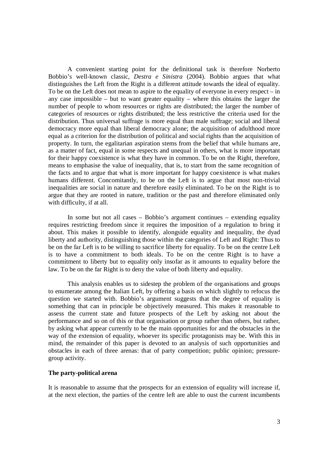A convenient starting point for the definitional task is therefore Norberto Bobbio's well-known classic, *Destra e Sinistra* (2004). Bobbio argues that what distinguishes the Left from the Right is a different attitude towards the ideal of equality. To be on the Left does not mean to aspire to the equality of everyone in every respect – in any case impossible – but to want greater equality – where this obtains the larger the number of people to whom resources or rights are distributed; the larger the number of categories of resources or rights distributed; the less restrictive the criteria used for the distribution. Thus universal suffrage is more equal than male suffrage; social and liberal democracy more equal than liberal democracy alone; the acquisition of adulthood more equal as a criterion for the distribution of political and social rights than the acquisition of property. In turn, the egalitarian aspiration stems from the belief that while humans are, as a matter of fact, equal in some respects and unequal in others, what is more important for their happy coexistence is what they have in common. To be on the Right, therefore, means to emphasise the value of inequality, that is, to start from the same recognition of the facts and to argue that what is more important for happy coexistence is what makes humans different. Concomitantly, to be on the Left is to argue that most non-trivial inequalities are social in nature and therefore easily eliminated. To be on the Right is to argue that they are rooted in nature, tradition or the past and therefore eliminated only with difficulty, if at all.

In some but not all cases – Bobbio's argument continues – extending equality requires restricting freedom since it requires the imposition of a regulation to bring it about. This makes it possible to identify, alongside equality and inequality, the dyad liberty and authority, distinguishing those within the categories of Left and Right: Thus to be on the far Left is to be willing to sacrifice liberty for equality. To be on the centre Left is to have a commitment to both ideals. To be on the centre Right is to have a commitment to liberty but to equality only insofar as it amounts to equality before the law. To be on the far Right is to deny the value of both liberty and equality.

This analysis enables us to sidestep the problem of the organisations and groups to enumerate among the Italian Left, by offering a basis on which slightly to refocus the question we started with. Bobbio's argument suggests that the degree of equality is something that can in principle be objectively measured. This makes it reasonable to assess the current state and future prospects of the Left by asking not about the performance and so on of this or that organisation or group rather than others, but rather, by asking what appear currently to be the main opportunities for and the obstacles in the way of the extension of equality, whoever its specific protagonists may be. With this in mind, the remainder of this paper is devoted to an analysis of such opportunities and obstacles in each of three arenas: that of party competition; public opinion; pressuregroup activity.

# **The party-political arena**

It is reasonable to assume that the prospects for an extension of equality will increase if, at the next election, the parties of the centre left are able to oust the current incumbents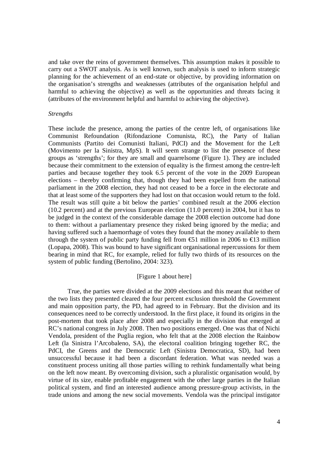and take over the reins of government themselves. This assumption makes it possible to carry out a SWOT analysis. As is well known, such analysis is used to inform strategic planning for the achievement of an end-state or objective, by providing information on the organisation's strengths and weaknesses (attributes of the organisation helpful and harmful to achieving the objective) as well as the opportunities and threats facing it (attributes of the environment helpful and harmful to achieving the objective).

## *Strengths*

These include the presence, among the parties of the centre left, of organisations like Communist Refoundation (Rifondazione Comunista, RC), the Party of Italian Communists (Partito dei Comunisti Italiani, PdCI) and the Movement for the Left (Movimento per la Sinistra, MpS). It will seem strange to list the presence of these groups as 'strengths'; for they are small and quarrelsome (Figure 1). They are included because their commitment to the extension of equality is the firmest among the centre-left parties and because together they took 6.5 percent of the vote in the 2009 European elections – thereby confirming that, though they had been expelled from the national parliament in the 2008 election, they had not ceased to be a force in the electorate and that at least some of the supporters they had lost on that occasion would return to the fold. The result was still quite a bit below the parties' combined result at the 2006 election (10.2 percent) and at the previous European election (11.0 percent) in 2004, but it has to be judged in the context of the considerable damage the 2008 election outcome had done to them: without a parliamentary presence they risked being ignored by the media; and having suffered such a haemorrhage of votes they found that the money available to them through the system of public party funding fell from  $\bigoplus$  1 million in 2006 to  $\bigoplus$  3 million (Lopapa, 2008). This was bound to have significant organisational repercussions for them bearing in mind that RC, for example, relied for fully two thirds of its resources on the system of public funding (Bertolino, 2004: 323).

#### [Figure 1 about here]

True, the parties were divided at the 2009 elections and this meant that neither of the two lists they presented cleared the four percent exclusion threshold the Government and main opposition party, the PD, had agreed to in February. But the division and its consequences need to be correctly understood. In the first place, it found its origins in the post-mortem that took place after 2008 and especially in the division that emerged at RC's national congress in July 2008. Then two positions emerged. One was that of Nichi Vendola, president of the Puglia region, who felt that at the 2008 election the Rainbow Left (la Sinistra l'Arcobaleno, SA), the electoral coalition bringing together RC, the PdCI, the Greens and the Democratic Left (Sinistra Democratica, SD), had been unsuccessful because it had been a discordant federation. What was needed was a constituent process uniting all those parties willing to rethink fundamentally what being on the left now meant. By overcoming division, such a pluralistic organisation would, by virtue of its size, enable profitable engagement with the other large parties in the Italian political system, and find an interested audience among pressure-group activists, in the trade unions and among the new social movements. Vendola was the principal instigator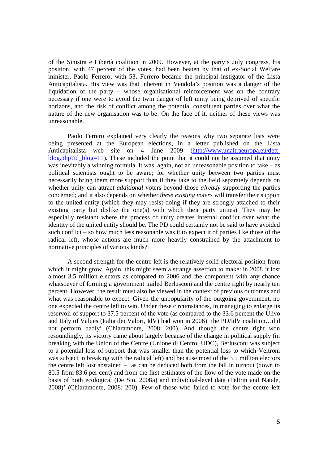of the Sinistra e Libertà coalition in 2009. However, at the party's July congress, his position, with 47 percent of the votes, had been beaten by that of ex-Social Welfare minister, Paolo Ferrero, with 53. Ferrero became the principal instigator of the Lista Anticapitalista. His view was that inherent in Vendola's position was a danger of the liquidation of the party – whose organisational reinforcement was on the contrary necessary if one were to avoid the twin danger of left unity being deprived of specific horizons, and the risk of conflict among the potential constituent parties over what the nature of the new organisation was to be. On the face of it, neither of these views was unreasonable.

Paolo Ferrero explained very clearly the reasons why two separate lists were being presented at the European elections, in a letter published on the Lista Anticapitalista web site on 4 June 2009 (http://www.unaltraeuropa.eu/dett- $\underline{b \log p}$  hp?id\_blog=11). These included the point that it could not be assumed that unity was inevitably a winning formula. It was, again, not an unreasonable position to take – as political scientists ought to be aware; for whether unity between two parties must necessarily bring them more support than if they take to the field separately depends on whether unity can attract *additional* voters beyond those *already* supporting the parties concerned; and it also depends on whether *these existing voters* will transfer their support to the united entity (which they may resist doing if they are strongly attached to their existing party but dislike the one(s) with which their party unites). They may be especially resistant where the process of unity creates internal conflict over what the identity of the united entity should be. The PD could certainly not be said to have avoided such conflict – so how much less reasonable was it to expect it of parties like those of the radical left, whose actions are much more heavily constrained by the attachment to normative principles of various kinds?

A second strength for the centre left is the relatively solid electoral position from which it might grow. Again, this might seem a strange assertion to make: in 2008 it lost almost 3.5 million electors as compared to 2006 and the component with any chance whatsoever of forming a government trailed Berlusconi and the centre right by nearly ten percent. However, the result must also be viewed in the context of previous outcomes and what was reasonable to expect. Given the unpopularity of the outgoing government, no one expected the centre left to win. Under these circumstances, in managing to enlarge its reservoir of support to 37.5 percent of the vote (as compared to the 33.6 percent the Ulivo and Italy of Values (Italia dei Valori, IdV) had won in 2006) 'the PD/IdV coalition…did not perform badly' (Chiaramonte, 2008: 200). And though the centre right won resoundingly, its victory came about largely because of the change in political supply (in breaking with the Union of the Centre (Unione di Centro, UDC), Berlusconi was subject to a potential loss of support that was smaller than the potential loss to which Veltroni was subject in breaking with the radical left) and because most of the 3.5 million electors the centre left lost abstained – 'as can be deduced both from the fall in turnout (down to 80.5 from 83.6 per cent) and from the first estimates of the flow of the vote made on the basis of both ecological (De Sio, 2008a) and individual-level data (Feltrin and Natale, 2008)' (Chiaramonte, 2008: 200). Few of those who failed to vote for the centre left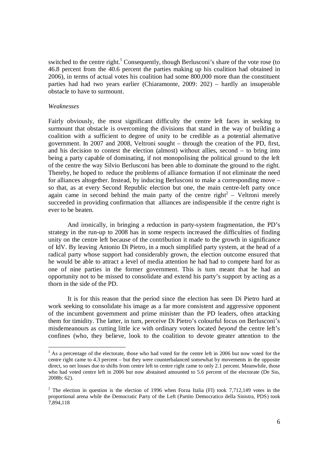switched to the centre right.<sup>1</sup> Consequently, though Berlusconi's share of the vote rose (to 46.8 percent from the 40.6 percent the parties making up his coalition had obtained in 2006), in terms of actual votes his coalition had some 800,000 more than the constituent parties had had two years earlier (Chiaramonte, 2009: 202) – hardly an insuperable obstacle to have to surmount.

#### *Weaknesses*

-

Fairly obviously, the most significant difficulty the centre left faces in seeking to surmount that obstacle is overcoming the divisions that stand in the way of building a coalition with a sufficient to degree of unity to be credible as a potential alternative government. In 2007 and 2008, Veltroni sought – through the creation of the PD, first, and his decision to contest the election (almost) without allies, second – to bring into being a party capable of dominating, if not monopolising the political ground to the left of the centre the way Silvio Berlusconi has been able to dominate the ground to the right. Thereby, he hoped to reduce the problems of alliance formation if not eliminate the need for alliances altogether. Instead, by inducing Berlusconi to make a corresponding move – so that, as at every Second Republic election but one, the main centre-left party once again came in second behind the main party of the centre right<sup>2</sup> – Veltroni merely succeeded in providing confirmation that alliances are indispensible if the centre right is ever to be beaten.

And ironically, in bringing a reduction in party-system fragmentation, the PD's strategy in the run-up to 2008 has in some respects increased the difficulties of finding unity on the centre left because of the contribution it made to the growth in significance of IdV. By leaving Antonio Di Pietro, in a much simplified party system, at the head of a radical party whose support had considerably grown, the election outcome ensured that he would be able to attract a level of media attention he had had to compete hard for as one of nine parties in the former government. This is turn meant that he had an opportunity not to be missed to consolidate and extend his party's support by acting as a thorn in the side of the PD.

It is for this reason that the period since the election has seen Di Pietro hard at work seeking to consolidate his image as a far more consistent and aggressive opponent of the incumbent government and prime minister than the PD leaders, often attacking them for timidity. The latter, in turn, perceive Di Pietro's colourful focus on Berlusconi's misdemeanours as cutting little ice with ordinary voters located *beyond* the centre left's confines (who, they believe, look to the coalition to devote greater attention to the

<sup>&</sup>lt;sup>1</sup> As a percentage of the electorate, those who had voted for the centre left in 2006 but now voted for the centre right came to 4.3 percent – but they were counterbalanced somewhat by movements in the opposite direct, so net losses due to shifts from centre left to centre right came to only 2.1 percent. Meanwhile, those who had voted centre left in 2006 but now abstained amounted to 5.6 percent of the electorate (De Sio, 2008b: 62).

<sup>&</sup>lt;sup>2</sup> The election in question is the election of 1996 when Forza Italia (FI) took 7,712,149 votes in the proportional arena while the Democratic Party of the Left (Partito Democratico della Sinistra, PDS) took 7,894,118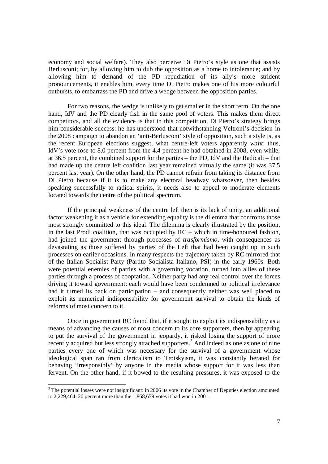economy and social welfare). They also perceive Di Pietro's style as one that assists Berlusconi; for, by allowing him to dub the opposition as a home to intolerance; and by allowing him to demand of the PD repudiation of its ally's more strident pronouncements, it enables him, every time Di Pietro makes one of his more colourful outbursts, to embarrass the PD and drive a wedge between the opposition parties.

For two reasons, the wedge is unlikely to get smaller in the short term. On the one hand, IdV and the PD clearly fish in the same pool of voters. This makes them direct competitors, and all the evidence is that in this competition, Di Pietro's strategy brings him considerable success: he has understood that notwithstanding Veltroni's decision in the 2008 campaign to abandon an 'anti-Berlusconi' style of opposition, such a style is, as the recent European elections suggest, what centre-left voters apparently *want*: thus, IdV's vote rose to 8.0 percent from the 4.4 percent he had obtained in 2008, even while, at 36.5 percent, the combined support for the parties – the PD, IdV and the Radicali – that had made up the centre left coalition last year remained virtually the same (it was 37.5 percent last year). On the other hand, the PD cannot refrain from taking its distance from Di Pietro because if it is to make any electoral headway whatsoever, then besides speaking successfully to radical spirits, it needs also to appeal to moderate elements located towards the centre of the political spectrum.

If the principal weakness of the centre left then is its lack of unity, an additional factor weakening it as a vehicle for extending equality is the dilemma that confronts those most strongly committed to this ideal. The dilemma is clearly illustrated by the position, in the last Prodi coalition, that was occupied by RC – which in time-honoured fashion, had joined the government through processes of *trasformismo*, with consequences as devastating as those suffered by parties of the Left that had been caught up in such processes on earlier occasions. In many respects the trajectory taken by RC mirrored that of the Italian Socialist Party (Partito Socialista Italiano, PSI) in the early 1960s. Both were potential enemies of parties with a governing vocation, turned into allies of these parties through a process of cooptation. Neither party had any real control over the forces driving it toward government: each would have been condemned to political irrelevance had it turned its back on participation – and consequently neither was well placed to exploit its numerical indispensability for government survival to obtain the kinds of reforms of most concern to it.

Once in government RC found that, if it sought to exploit its indispensability as a means of advancing the causes of most concern to its core supporters, then by appearing to put the survival of the government in jeopardy, it risked losing the support of more recently acquired but less strongly attached supporters.<sup>3</sup> And indeed as one as one of nine parties every one of which was necessary for the survival of a government whose ideological span ran from clericalism to Trotskyism, it was constantly berated for behaving 'irresponsibly' by anyone in the media whose support for it was less than fervent. On the other hand, if it bowed to the resulting pressures, it was exposed to the

<sup>&</sup>lt;sup>3</sup>The potential losses were not insignificant: in 2006 its vote in the Chamber of Deputies election amounted to 2,229,464: 20 percent more than the 1,868,659 votes it had won in 2001.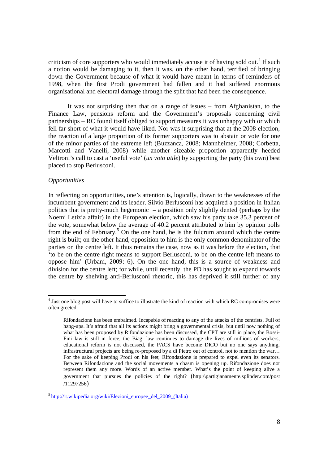criticism of core supporters who would immediately accuse it of having sold out.<sup>4</sup> If such a notion would be damaging to it, then it was, on the other hand, terrified of bringing down the Government because of what it would have meant in terms of reminders of 1998, when the first Prodi government had fallen and it had suffered enormous organisational and electoral damage through the split that had been the consequence.

It was not surprising then that on a range of issues – from Afghanistan, to the Finance Law, pensions reform and the Government's proposals concerning civil partnerships – RC found itself obliged to support measures it was unhappy with or which fell far short of what it would have liked. Nor was it surprising that at the 2008 election, the reaction of a large proportion of its former supporters was to abstain or vote for one of the minor parties of the extreme left (Buzzanca, 2008; Mannheimer, 2008; Corbetta, Marcotti and Vanelli, 2008) while another sizeable proportion apparently heeded Veltroni's call to cast a 'useful vote' (*un voto utile*) by supporting the party (his own) best placed to stop Berlusconi.

#### *Opportunities*

-

In reflecting on opportunities, one's attention is, logically, drawn to the weaknesses of the incumbent government and its leader. Silvio Berlusconi has acquired a position in Italian politics that is pretty-much hegemonic – a position only slightly dented (perhaps by the Noemi Letizia affair) in the European election, which saw his party take 35.3 percent of the vote, somewhat below the average of 40.2 percent attributed to him by opinion polls from the end of February.<sup>5</sup> On the one hand, he is the fulcrum around which the centre right is built; on the other hand, opposition to him is the only common denominator of the parties on the centre left. It thus remains the case, now as it was before the election, that 'to be on the centre right means to support Berlusconi, to be on the centre left means to oppose him' (Urbani, 2009: 6). On the one hand, this is a source of weakness and division for the centre left; for while, until recently, the PD has sought to expand towards the centre by shelving anti-Berlusconi rhetoric, this has deprived it still further of any

<sup>&</sup>lt;sup>4</sup> Just one blog post will have to suffice to illustrate the kind of reaction with which RC compromises were often greeted:

Rifondazione has been embalmed. Incapable of reacting to any of the attacks of the centrists. Full of hang-ups. It's afraid that all its actions might bring a governmental crisis, but until now nothing of what has been proposed by Rifondazione has been discussed, the CPT are still in place, the Bossi-Fini law is still in force, the Biagi law continues to damage the lives of millions of workers, educational reform is not discussed, the PACS have become DICO but no one says anything, infrastructural projects are being re-proposed by a di Pietro out of control, not to mention the war… For the sake of keeping Prodi on his feet, Rifondazione is prepared to expel even its senators. Between Rifondazione and the social movements a chasm is opening up. Rifondazione does not represent them any more. Words of an active member. What's the point of keeping alive a government that pursues the policies of the right? (http:\\partigianamente.splinder.com/post /11297256)

<sup>&</sup>lt;sup>5</sup> http://it.wikipedia.org/wiki/Elezioni\_europee\_del\_2009\_(Italia)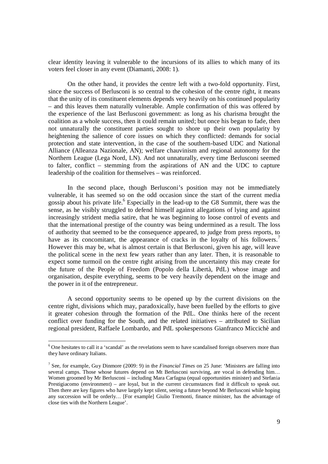clear identity leaving it vulnerable to the incursions of its allies to which many of its voters feel closer in any event (Diamanti, 2008: 1).

On the other hand, it provides the centre left with a two-fold opportunity. First, since the success of Berlusconi is *so* central to the cohesion of the centre right, it means that the unity of its constituent elements depends very heavily on his continued popularity – and this leaves them naturally vulnerable. Ample confirmation of this was offered by the experience of the last Berlusconi government: as long as his charisma brought the coalition as a whole success, then it could remain united; but once his began to fade, then not unnaturally the constituent parties sought to shore up their own popularity by heightening the salience of core issues on which they conflicted: demands for social protection and state intervention, in the case of the southern-based UDC and National Alliance (Alleanza Nazionale, AN); welfare chauvinism and regional autonomy for the Northern League (Lega Nord, LN). And not unnaturally, every time Berlusconi seemed to falter, conflict – stemming from the aspirations of AN and the UDC to capture leadership of the coalition for themselves – was reinforced.

In the second place, though Berlusconi's position may not be immediately vulnerable, it has seemed so on the odd occasion since the start of the current media gossip about his private life.<sup>6</sup> Especially in the lead-up to the G8 Summit, there was the sense, as he visibly struggled to defend himself against allegations of lying and against increasingly strident media satire, that he was beginning to loose control of events and that the international prestige of the country was being undermined as a result. The loss of authority that seemed to be the consequence appeared, to judge from press reports, to have as its concomitant, the appearance of cracks in the loyalty of his followers.<sup>7</sup> However this may be, what is almost certain is that Berlusconi, given his age, will leave the political scene in the next few years rather than any later. Then, it is reasonable to expect some turmoil on the centre right arising from the uncertainty this may create for the future of the People of Freedom (Popolo della Libertà, PdL) whose image and organisation, despite everything, seems to be very heavily dependent on the image and the power in it of the entrepreneur.

A second opportunity seems to be opened up by the current divisions on the centre right, divisions which may, paradoxically, have been fuelled by the efforts to give it greater cohesion through the formation of the PdL. One thinks here of the recent conflict over funding for the South, and the related initiatives – attributed to Sicilian regional president, Raffaele Lombardo, and PdL spokespersons Gianfranco Miccichè and

-

<sup>&</sup>lt;sup>6</sup> One hesitates to call it a 'scandal' as the revelations seem to have scandalised foreign observers more than they have ordinary Italians.

<sup>7</sup> See, for example, Guy Dinmore (2009: 9) in the *Financial Times* on 25 June: 'Ministers are falling into several camps. Those whose futures depend on Mt Berlusconi surviving, are vocal in defending him... Women groomed by Mr Berlusconi – including Mara Carfagna (equal opportunities minister) and Stefania Prestigiacomo (environment) – are loyal, but in the current circumstances find it difficult to speak out. Then there are key figures who have largely kept silent, seeing a future beyond Mr Berlusconi while hoping any succession will be orderly… [For example] Giulio Tremonti, finance minister, has the advantage of close ties with the Northern League'.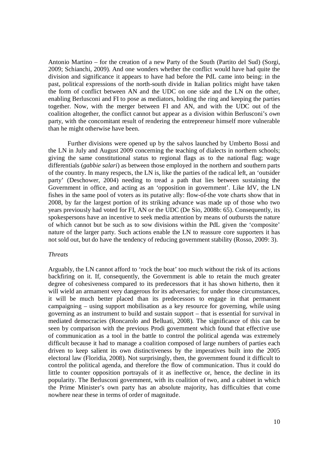Antonio Martino – for the creation of a new Party of the South (Partito del Sud) (Sorgi, 2009; Schianchi, 2009). And one wonders whether the conflict would have had quite the division and significance it appears to have had before the PdL came into being: in the past, political expressions of the north-south divide in Italian politics might have taken the form of conflict between AN and the UDC on one side and the LN on the other, enabling Berlusconi and FI to pose as mediators, holding the ring and keeping the parties together. Now, with the merger between FI and AN, and with the UDC out of the coalition altogether, the conflict cannot but appear as a division within Berlusconi's *own* party, with the concomitant result of rendering the entrepreneur himself more vulnerable than he might otherwise have been.

Further divisions were opened up by the salvos launched by Umberto Bossi and the LN in July and August 2009 concerning the teaching of dialects in northern schools; giving the same constitutional status to regional flags as to the national flag; wage differentials (*gabbie salari*) as between those employed in the northern and southern parts of the country. In many respects, the LN is, like the parties of the radical left, an 'outsider party' (Deschower, 2004) needing to tread a path that lies between sustaining the Government in office, and acting as an 'opposition in government'. Like IdV, the LN fishes in the same pool of voters as its putative ally: flow-of-the vote charts show that in 2008, by far the largest portion of its striking advance was made up of those who two years previously had voted for FI, AN or the UDC (De Sio, 2008b: 65). Consequently, its spokespersons have an incentive to seek media attention by means of outbursts the nature of which cannot but be such as to sow divisions within the PdL given the 'composite' nature of the larger party. Such actions enable the LN to reassure core supporters it has not sold out, but do have the tendency of reducing government stability (Rosso, 2009: 3).

#### *Threats*

Arguably, the LN cannot afford to 'rock the boat' too much without the risk of its actions backfiring on it. If, consequently, the Government is able to retain the much greater degree of cohesiveness compared to its predecessors that it has shown hitherto, then it will wield an armament very dangerous for its adversaries; for under those circumstances, it will be much better placed than its predecessors to engage in that permanent campaigning – using support mobilisation as a key resource for governing, while using governing as an instrument to build and sustain support – that is essential for survival in mediated democracies (Roncarolo and Belluati, 2008). The significance of this can be seen by comparison with the previous Prodi government which found that effective use of communication as a tool in the battle to control the political agenda was extremely difficult because it had to manage a coalition composed of large numbers of parties each driven to keep salient its own distinctiveness by the imperatives built into the 2005 electoral law (Floridia, 2008). Not surprisingly, then, the government found it difficult to control the political agenda, and therefore the flow of communication. Thus it could do little to counter opposition portrayals of it as ineffective or, hence, the decline in its popularity. The Berlusconi government, with its coalition of two, and a cabinet in which the Prime Minister's own party has an absolute majority, has difficulties that come nowhere near these in terms of order of magnitude.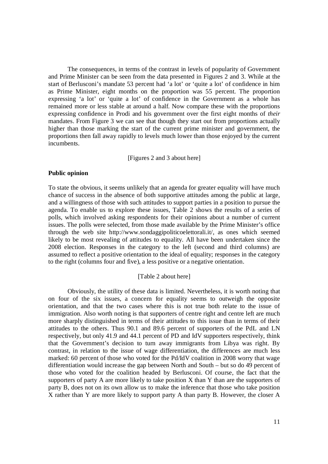The consequences, in terms of the contrast in levels of popularity of Government and Prime Minister can be seen from the data presented in Figures 2 and 3. While at the start of Berlusconi's mandate 53 percent had 'a lot' or 'quite a lot' of confidence in him as Prime Minister, eight months on the proportion was 55 percent. The proportion expressing 'a lot' or 'quite a lot' of confidence in the Government as a whole has remained more or less stable at around a half. Now compare these with the proportions expressing confidence in Prodi and his government over the first eight months of *their* mandates. From Figure 3 we can see that though they start out from proportions actually higher than those marking the start of the current prime minister and government, the proportions then fall away rapidly to levels much lower than those enjoyed by the current incumbents.

#### [Figures 2 and 3 about here]

#### **Public opinion**

To state the obvious, it seems unlikely that an agenda for greater equality will have much chance of success in the absence of both supportive attitudes among the public at large, and a willingness of those with such attitudes to support parties in a position to pursue the agenda. To enable us to explore these issues, Table 2 shows the results of a series of polls, which involved asking respondents for their opinions about a number of current issues. The polls were selected, from those made available by the Prime Minister's office through the web site http://www.sondaggipoliticoelettorali.it/, as ones which seemed likely to be most revealing of attitudes to equality. All have been undertaken since the 2008 election. Responses in the category to the left (second and third columns) are assumed to reflect a positive orientation to the ideal of equality; responses in the category to the right (columns four and five), a less positive or a negative orientation.

#### [Table 2 about here]

Obviously, the utility of these data is limited. Nevertheless, it is worth noting that on four of the six issues, a concern for equality seems to outweigh the opposite orientation, and that the two cases where this is not true both relate to the issue of immigration. Also worth noting is that supporters of centre right and centre left are much more sharply distinguished in terms of their attitudes to this issue than in terms of their attitudes to the others. Thus 90.1 and 89.6 percent of supporters of the PdL and LN respectively, but only 41.9 and 44.1 percent of PD and IdV supporters respectively, think that the Government's decision to turn away immigrants from Libya was right. By contrast, in relation to the issue of wage differentiation, the differences are much less marked: 60 percent of those who voted for the Pd/IdV coalition in 2008 worry that wage differentiation would increase the gap between North and South – but so do 49 percent of those who voted for the coalition headed by Berlusconi. Of course, the fact that the supporters of party A are more likely to take position  $X$  than  $Y$  than are the supporters of party B, does not on its own allow us to make the inference that those who take position X rather than Y are more likely to support party A than party B. However, the closer A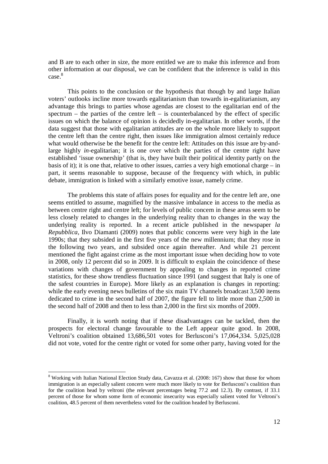and B are to each other in size, the more entitled we are to make this inference and from other information at our disposal, we can be confident that the inference is valid in this case. 8

This points to the conclusion or the hypothesis that though by and large Italian voters' outlooks incline more towards egalitarianism than towards in-egalitarianism, any advantage this brings to parties whose agendas are closest to the egalitarian end of the spectrum – the parties of the centre left – is counterbalanced by the effect of specific issues on which the balance of opinion is decidedly in-egalitarian. In other words, if the data suggest that those with egalitarian attitudes are on the whole more likely to support the centre left than the centre right, then issues like immigration almost certainly reduce what would otherwise be the benefit for the centre left: Attitudes on this issue are by-andlarge highly *in-*egalitarian; it is one over which the parties of the centre right have established 'issue ownership' (that is, they have built their political identity partly on the basis of it); it is one that, relative to other issues, carries a very high emotional charge – in part, it seems reasonable to suppose, because of the frequency with which, in public debate, immigration is linked with a similarly emotive issue, namely crime.

The problems this state of affairs poses for equality and for the centre left are, one seems entitled to assume, magnified by the massive imbalance in access to the media as between centre right and centre left; for levels of public concern in these areas seem to be less closely related to changes in the underlying reality than to changes in the way the underlying reality is reported. In a recent article published in the newspaper *la Repubblica*, Ilvo Diamanti (2009) notes that public concerns were very high in the late 1990s; that they subsided in the first five years of the new millennium; that they rose in the following two years, and subsided once again thereafter. And while 21 percent mentioned the fight against crime as the most important issue when deciding how to vote in 2008, only 12 percent did so in 2009. It is difficult to explain the coincidence of these variations with changes of government by appealing to changes in reported crime statistics, for these show trendless fluctuation since 1991 (and suggest that Italy is one of the safest countries in Europe). More likely as an explanation is changes in reporting: while the early evening news bulletins of the six main TV channels broadcast 3,500 items dedicated to crime in the second half of 2007, the figure fell to little more than 2,500 in the second half of 2008 and then to less than 2,000 in the first six months of 2009.

Finally, it is worth noting that if these disadvantages can be tackled, then the prospects for electoral change favourable to the Left appear quite good. In 2008, Veltroni's coalition obtained 13,686,501 votes for Berlusconi's 17,064,334. 5,025,028 did not vote, voted for the centre right or voted for some other party, having voted for the

-

<sup>&</sup>lt;sup>8</sup> Working with Italian National Election Study data, Cavazza et al. (2008: 167) show that those for whom immigration is an especially salient concern were much more likely to vote for Berlusconi's coalition than for the coalition head by veltroni (the relevant percentages being 77.2 and 12.3). By contrast, if 33.1 percent of those for whom some form of economic insecurity was especially salient voted for Veltroni's coalition, 48.5 percent of them nevertheless voted for the coalition headed by Berlusconi.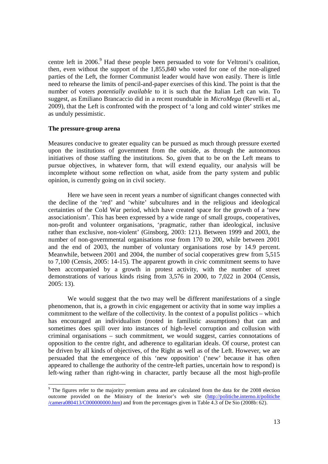centre left in 2006.<sup>9</sup> Had these people been persuaded to vote for Veltroni's coalition, then, even without the support of the 1,855,840 who voted for one of the non-aligned parties of the Left, the former Communist leader would have won easily. There is little need to rehearse the limits of pencil-and-paper exercises of this kind. The point is that the number of voters *potentially available* to it is such that the Italian Left can win. To suggest, as Emiliano Brancaccio did in a recent roundtable in *MicroMega* (Revelli et al., 2009), that the Left is confronted with the prospect of 'a long and cold winter' strikes me as unduly pessimistic.

#### **The pressure-group arena**

Measures conducive to greater equality can be pursued as much through pressure exerted upon the institutions of government from the outside, as through the autonomous initiatives of those staffing the institutions. So, given that to be on the Left means to pursue objectives, in whatever form, that will extend equality, our analysis will be incomplete without some reflection on what, aside from the party system and public opinion, is currently going on in civil society.

Here we have seen in recent years a number of significant changes connected with the decline of the 'red' and 'white' subcultures and in the religious and ideological certainties of the Cold War period, which have created space for the growth of a 'new associationism'. This has been expressed by a wide range of small groups, cooperatives, non-profit and volunteer organisations, 'pragmatic, rather than ideological, inclusive rather than exclusive, non-violent' (Ginsborg, 2003: 121). Between 1999 and 2003, the number of non-governmental organisations rose from 170 to 200, while between 2001 and the end of 2003, the number of voluntary organisations rose by 14.9 percent. Meanwhile, between 2001 and 2004, the number of social cooperatives grew from 5,515 to 7,100 (Censis, 2005: 14-15). The apparent growth in civic commitment seems to have been accompanied by a growth in protest activity, with the number of street demonstrations of various kinds rising from 3,576 in 2000, to 7,022 in 2004 (Censis, 2005: 13).

We would suggest that the two may well be different manifestations of a single phenomenon, that is, a growth in civic engagement or activity that in some way implies a commitment to the welfare of the collectivity. In the context of a populist politics – which has encouraged an individualism (rooted in familistic assumptions) that can and sometimes does spill over into instances of high-level corruption and collusion with criminal organisations – such commitment, we would suggest, carries connotations of opposition to the centre right, and adherence to egalitarian ideals. Of course, protest can be driven by all kinds of objectives, of the Right as well as of the Left. However, we are persuaded that the emergence of this 'new opposition' ('new' because it has often appeared to challenge the authority of the centre-left parties, uncertain how to respond) is left-wing rather than right-wing in character, partly because all the most high-profile

The figures refer to the majority premium arena and are calculated from the data for the 2008 election outcome provided on the Ministry of the Interior's web site (http://politiche.interno.it/politiche /camera080413/C000000000.htm) and from the percentages given in Table 4.3 of De Sio (2008b: 62).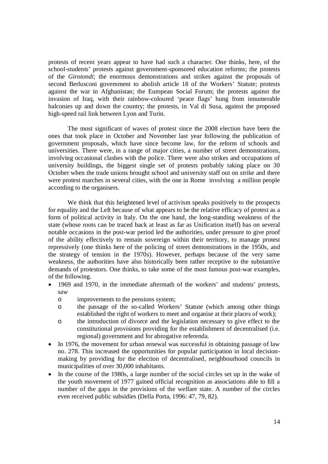protests of recent years appear to have had such a character. One thinks, here, of the school-students' protests against government-sponsored education reforms; the protests of the *Girotondi*; the enormous demonstrations and strikes against the proposals of second Berlusconi government to abolish article 18 of the Workers' Statute; protests against the war in Afghanistan; the European Social Forum; the protests against the invasion of Iraq, with their rainbow-coloured 'peace flags' hung from innumerable balconies up and down the country; the protests, in Val di Susa, against the proposed high-speed rail link between Lyon and Turin.

The most significant of waves of protest since the 2008 election have been the ones that took place in October and November last year following the publication of government proposals, which have since become law, for the reform of schools and universities. There were, in a range of major cities, a number of street demonstrations, involving occasional clashes with the police. There were also strikes and occupations of university buildings, the biggest single set of protests probably taking place on 30 October when the trade unions brought school and university staff out on strike and there were protest marches in several cities, with the one in Rome involving a million people according to the organisers.

We think that this heightened level of activism speaks positively to the prospects for equality and the Left because of what appears to be the relative efficacy of protest as a form of political activity in Italy. On the one hand, the long-standing weakness of the state (whose roots can be traced back at least as far as Unification itself) has on several notable occasions in the post-war period led the authorities, under pressure to give proof of the ability effectively to remain sovereign within their territory, to manage protest repressively (one thinks here of the policing of street demonstrations in the 1950s, and the strategy of tension in the 1970s). However, perhaps because of the very same weakness, the authorities have also historically been rather receptive to the substantive demands of protestors. One thinks, to take some of the most famous post-war examples, of the following.

- 1969 and 1970, in the immediate aftermath of the workers' and students' protests, saw
	- o improvements to the pensions system;
	- o the passage of the so-called Workers' Statute (which among other things established the right of workers to meet and organise at their places of work);
	- o the introduction of divorce and the legislation necessary to give effect to the constitutional provisions providing for the establishment of decentralised (i.e. regional) government and for abrogative referenda.
- In 1976, the movement for urban renewal was successful in obtaining passage of law no. 278. This increased the opportunities for popular participation in local decisionmaking by providing for the election of decentralised, neighbourhood councils in municipalities of over 30,000 inhabitants.
- In the course of the 1980s, a large number of the social circles set up in the wake of the youth movement of 1977 gained official recognition as associations able to fill a number of the gaps in the provisions of the welfare state. A number of the circles even received public subsidies (Della Porta, 1996: 47, 79, 82).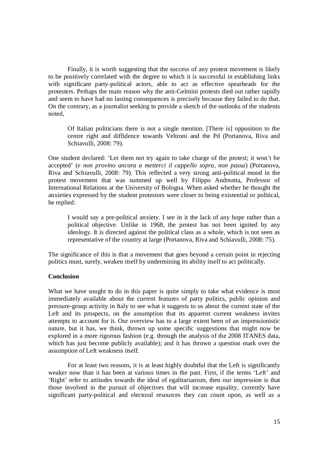Finally, it is worth suggesting that the success of any protest movement is likely to be positively correlated with the degree to which it is successful in establishing links with significant party-political actors, able to act as effective spearheads for the protesters. Perhaps the main reason why the anti-Gelmini protests died out rather rapidly and seem to have had no lasting consequences is precisely because they failed to do that. On the contrary, as a journalist seeking to provide a sketch of the outlooks of the students noted,

Of Italian politicians there is not a single mention. [There is] opposition to the centre right and diffidence towards Veltroni and the Pd (Portanova, Riva and Schiavulli, 2008: 79).

One student declared: 'Let them not try again to take charge of the protest; it won't be accepted' (*e non provino ancora a metterci il cappello sopra, non passa*) (Portanova, Riva and Schiavulli, 2008: 79). This reflected a very strong anti-political mood in the protest movement that was summed up well by Filippo Andreatta, Professor of International Relations at the University of Bologna. When asked whether he thought the anxieties expressed by the student protestors were closer to being existential or political, he replied:

I would say a pre-political anxiety. I see in it the lack of any hope rather than a political objective. Unlike in 1968, the protest has not been ignited by any ideology. It is directed against the political class as a whole, which is not seen as representative of the country at large (Portanova, Riva and Schiavulli, 2008: 75).

The significance of this is that a movement that goes beyond a certain point in rejecting politics must, surely, weaken itself by undermining its ability itself to act politically.

#### **Conclusion**

What we have sought to do in this paper is quite simply to take what evidence is most immediately available about the current features of party politics, public opinion and pressure-group activity in Italy to see what it suggests to us about the current state of the Left and its prospects, on the assumption that its apparent current weakness invites attempts to account for it. Our overview has to a large extent been of an impressionistic nature, but it has, we think, thrown up some specific suggestions that might now be explored in a more rigorous fashion (e.g. through the analysis of the 2008 ITANES data, which has just become publicly available); and it has thrown a question mark over the assumption of Left weakness itself.

For at least two reasons, it is at least highly doubtful that the Left is significantly weaker now than it has been at various times in the past. First, if the terms 'Left' and 'Right' refer to attitudes towards the ideal of egalitarianism, then our impression is that those involved in the pursuit of objectives that will increase equality, currently have significant party-political and electoral resources they can count upon, as well as a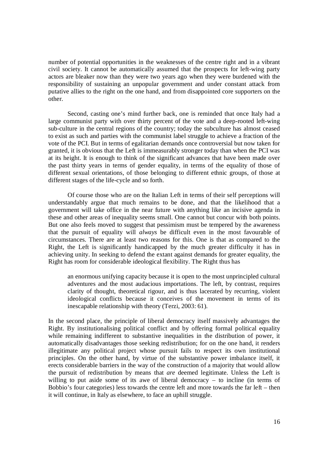number of potential opportunities in the weaknesses of the centre right and in a vibrant civil society. It cannot be automatically assumed that the prospects for left-wing party actors are bleaker now than they were two years ago when they were burdened with the responsibility of sustaining an unpopular government and under constant attack from putative allies to the right on the one hand, and from disappointed core supporters on the other.

Second, casting one's mind further back, one is reminded that once Italy had a large communist party with over thirty percent of the vote and a deep-rooted left-wing sub-culture in the central regions of the country; today the subculture has almost ceased to exist as such and parties with the communist label struggle to achieve a fraction of the vote of the PCI. But in terms of egalitarian demands once controversial but now taken for granted, it is obvious that the Left is immeasurably stronger today than when the PCI was at its height. It is enough to think of the significant advances that have been made over the past thirty years in terms of gender equality, in terms of the equality of those of different sexual orientations, of those belonging to different ethnic groups, of those at different stages of the life-cycle and so forth.

Of course those who are on the Italian Left in terms of their self perceptions will understandably argue that much remains to be done, and that the likelihood that a government will take office in the near future with anything like an incisive agenda in these and other areas of inequality seems small. One cannot but concur with both points. But one also feels moved to suggest that pessimism must be tempered by the awareness that the pursuit of equality will *always* be difficult even in the most favourable of circumstances. There are at least two reasons for this. One is that as compared to the Right, the Left is significantly handicapped by the much greater difficulty it has in achieving unity. In seeking to defend the extant against demands for greater equality, the Right has room for considerable ideological flexibility. The Right thus has

an enormous unifying capacity because it is open to the most unprincipled cultural adventures and the most audacious importations. The left, by contrast, requires clarity of thought, theoretical rigour, and is thus lacerated by recurring, violent ideological conflicts because it conceives of the movement in terms of its inescapable relationship with theory (Terzi, 2003: 61).

In the second place, the principle of liberal democracy itself massively advantages the Right. By institutionalising political conflict and by offering formal political equality while remaining indifferent to substantive inequalities in the distribution of power, it automatically disadvantages those seeking redistribution; for on the one hand, it renders illegitimate any political project whose pursuit fails to respect its own institutional principles. On the other hand, by virtue of the substantive power imbalance itself, it erects considerable barriers in the way of the construction of a majority that would allow the pursuit of redistribution by means that *are* deemed legitimate. Unless the Left is willing to put aside some of its awe of liberal democracy – to incline (in terms of Bobbio's four categories) less towards the centre left and more towards the far left – then it will continue, in Italy as elsewhere, to face an uphill struggle.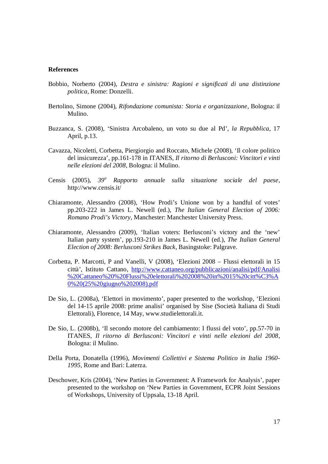#### **References**

- Bobbio, Norberto (2004), *Destra e sinistra: Ragioni e significati di una distinzione politica*, Rome: Donzelli.
- Bertolino, Simone (2004), *Rifondazione comunista: Storia e organizzazione*, Bologna: il Mulino.
- Buzzanca, S. (2008), 'Sinistra Arcobaleno, un voto su due al Pd', *la Repubblica*, 17 April, p.13.
- Cavazza, Nicoletti, Corbetta, Piergiorgio and Roccato, Michele (2008), 'Il colore politico del insicurezza', pp.161-178 in ITANES, *Il ritorno di Berlusconi: Vincitori e vinti nelle elezioni del 2008*, Bologna: il Mulino.
- Censis (2005), *39<sup>o</sup> Rapporto annuale sulla situazione sociale del paese*, http://www.censis.it/
- Chiaramonte, Alessandro (2008), 'How Prodi's Unione won by a handful of votes' pp.203-222 in James L. Newell (ed.), *The Italian General Election of 2006: Romano Prodi's Victory*, Manchester: Manchester University Press.
- Chiaramonte, Alessandro (2009), 'Italian voters: Berlusconi's victory and the 'new' Italian party system', pp.193-210 in James L. Newell (ed.), *The Italian General Election of 2008: Berlusconi Strikes Back*, Basingstoke: Palgrave.
- Corbetta, P. Marcotti, P and Vanelli, V (2008), 'Elezioni 2008 Flussi elettorali in 15 città', Istituto Cattano, http://www.cattaneo.org/pubblicazioni/analisi/pdf/Analisi %20Cattaneo%20%20Flussi%20elettorali%202008%20in%2015%20citt%C3%A 0%20(25%20giugno%202008).pdf
- De Sio, L. (2008a), 'Elettori in movimento', paper presented to the workshop, 'Elezioni del 14-15 aprile 2008: prime analisi' organised by Sise (Società Italiana di Studi Elettorali), Florence, 14 May, www.studielettorali.it.
- De Sio, L. (2008b), 'Il secondo motore del cambiamento: I flussi del voto', pp.57-70 in ITANES, *Il ritorno di Berlusconi: Vincitori e vinti nelle elezioni del 2008*, Bologna: il Mulino.
- Della Porta, Donatella (1996), *Movimenti Collettivi e Sistema Politico in Italia 1960- 1995*, Rome and Bari: Laterza.
- Deschower, Kris (2004), 'New Parties in Government: A Framework for Analysis', paper presented to the workshop on 'New Parties in Government, ECPR Joint Sessions of Workshops, University of Uppsala, 13-18 April.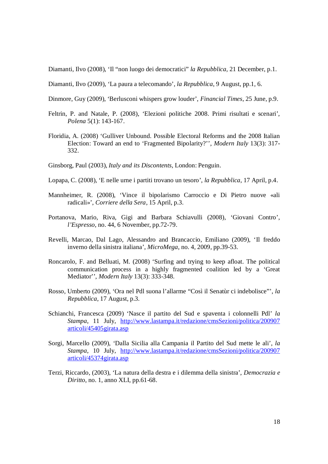Diamanti*,* Ilvo (2008), 'Il "non luogo dei democratici" *la Repubblica,* 21 December, p.1.

Diamanti, Ilvo (2009), 'La paura a telecomando', *la Repubblica*, 9 August, pp.1, 6.

Dinmore, Guy (2009), 'Berlusconi whispers grow louder', *Financial Times*, 25 June, p.9.

- Feltrin, P. and Natale, P. (2008), 'Elezioni politiche 2008. Primi risultati e scenari', *Polena* 5(1): 143-167.
- Floridia, A. (2008) 'Gulliver Unbound. Possible Electoral Reforms and the 2008 Italian Election: Toward an end to 'Fragmented Bipolarity?'', *Modern Italy* 13(3): 317- 332.
- Ginsborg, Paul (2003), *Italy and its Discontents*, London: Penguin.
- Lopapa, C. (2008), 'E nelle urne i partiti trovano un tesoro', *la Repubblica*, 17 April, p.4.
- Mannheimer, R. (2008), 'Vince il bipolarismo Carroccio e Di Pietro nuove «ali radicali»', *Corriere della Sera*, 15 April, p.3.
- Portanova, Mario, Riva, Gigi and Barbara Schiavulli (2008), 'Giovani Contro', *l'Espresso*, no. 44, 6 November, pp.72-79.
- Revelli, Marcao, Dal Lago, Alessandro and Brancaccio, Emiliano (2009), 'Il freddo inverno della sinistra italiana', *MicroMega*, no. 4, 2009, pp.39-53.
- Roncarolo, F. and Belluati, M. (2008) 'Surfing and trying to keep afloat. The political communication process in a highly fragmented coalition led by a 'Great Mediator'', *Modern Italy* 13(3): 333-348.
- Rosso, Umberto (2009), 'Ora nel Pdl suona l'allarme "Così il Senatùr ci indebolisce"', *la Repubblica*, 17 August, p.3.
- Schianchi, Francesca (2009) 'Nasce il partito del Sud e spaventa i colonnelli Pdl' *la Stampa*, 11 July, http://www.lastampa.it/redazione/cmsSezioni/politica/200907 articoli/45405girata.asp
- Sorgi, Marcello (2009), 'Dalla Sicilia alla Campania il Partito del Sud mette le ali', *la Stampa*, 10 July, http://www.lastampa.it/redazione/cmsSezioni/politica/200907 articoli/45374girata.asp
- Terzi, Riccardo, (2003), 'La natura della destra e i dilemma della sinistra', *Democrazia e Diritto*, no. 1, anno XLI, pp.61-68.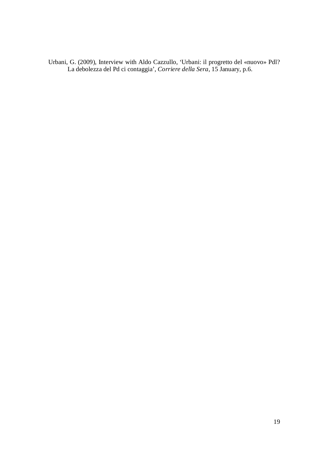Urbani, G. (2009), Interview with Aldo Cazzullo, 'Urbani: il progretto del «nuovo» Pdl? La debolezza del Pd ci contaggia', *Corriere della Sera*, 15 January, p.6.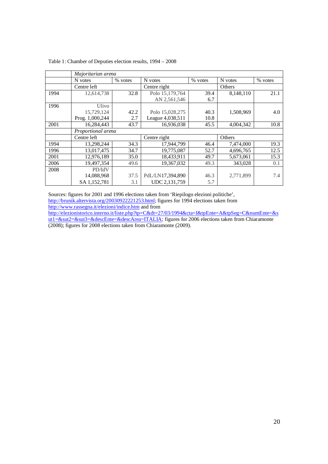|      | Majoritarian arena |         |                  |         |           |         |  |
|------|--------------------|---------|------------------|---------|-----------|---------|--|
|      | N votes            | % votes | N votes          | % votes | N votes   | % votes |  |
|      | Centre left        |         | Centre right     |         | Others    |         |  |
| 1994 | 12,614,738         | 32.8    | Polo 15,179,764  | 39.4    | 8,148,110 | 21.1    |  |
|      |                    |         | AN 2,561,546     | 6.7     |           |         |  |
| 1996 | <b>Ulivo</b>       |         |                  |         |           |         |  |
|      | 15,729,124         | 42.2    | Polo 15,028,275  | 40.3    | 1,508,969 | 4.0     |  |
|      | Prog. 1,000,244    | 2.7     | League 4,038,511 | 10.8    |           |         |  |
| 2001 | 16,284,443         | 43.7    | 16.936.038       | 45.5    | 4.004.342 | 10.8    |  |
|      | Proportional arena |         |                  |         |           |         |  |
|      | Centre left        |         | Centre right     |         | Others    |         |  |
| 1994 | 13,298,244         | 34.3    | 17,944,799       | 46.4    | 7,474,000 | 19.3    |  |
| 1996 | 13,017,475         | 34.7    | 19,775,087       | 52.7    | 4,696,765 | 12.5    |  |
| 2001 | 12,976,189         | 35.0    | 18,433,911       | 49.7    | 5,673,061 | 15.3    |  |
| 2006 | 19,497,354         | 49.6    | 19,367,032       | 49.3    | 343,028   | 0.1     |  |
| 2008 | PD/IdV             |         |                  |         |           |         |  |
|      | 14,088,968         | 37.5    | PdL/LN17,394,890 | 46.3    | 2,771,899 | 7.4     |  |
|      | SA 1,152,781       | 3.1     | UDC 2,131,759    | 5.7     |           |         |  |

Table 1: Chamber of Deputies election results, 1994 – 2008

Sources: figures for 2001 and 1996 elections taken from 'Riepilogo elezioni politiche', http://brunik.altervista.org/20030922221253.html; figures for 1994 elections taken from http://www.rassegna.it/elezioni/indice.htm and from

http://elezionistorico.interno.it/liste.php?tp=C&dt=27/03/1994&cta=I&tpEnte=A&tpSeg=C&numEnte=&s ut1=&sut2=&sut3=&descEnte=&descArea=ITALIA; figures for 2006 elections taken from Chiaramonte (2008); figures for 2008 elections taken from Chiaramonte (2009).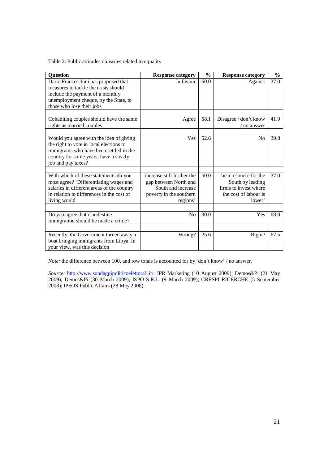Table 2: Public attitudes on issues related to equality

| <b>Ouestion</b>                            | <b>Response category</b>   | $\frac{0}{0}$ | <b>Response category</b> | $\frac{0}{0}$ |
|--------------------------------------------|----------------------------|---------------|--------------------------|---------------|
| Dario Franceschini has proposed that       | In favour                  | 60.0          | Against                  | 37.0          |
| measures to tackle the crisis should       |                            |               |                          |               |
| include the payment of a monthly           |                            |               |                          |               |
| unemployment cheque, by the State, to      |                            |               |                          |               |
| those who lose their jobs                  |                            |               |                          |               |
|                                            |                            |               |                          |               |
| Cohabiting couples should have the same    | Agree                      | 58.1          | Disagree / don't know    | 41.9          |
| rights as married couples                  |                            |               | / no answer              |               |
|                                            |                            |               |                          |               |
| Would you agree with the idea of giving    | Yes                        | 52.6          | No                       | 39.8          |
| the right to vote in local elections to    |                            |               |                          |               |
| immigrants who have been settled in the    |                            |               |                          |               |
| country for some years, have a steady      |                            |               |                          |               |
| job and pay taxes?                         |                            |               |                          |               |
| With which of these statements do you      | increase still further the | 50.0          | be a resource for the    | 37.0          |
| most agree? 'Differentiating wages and     | gap between North and      |               | South by leading         |               |
| salaries in different areas of the country | South and increase         |               | firms to invest where    |               |
| in relation to differences in the cost of  | poverty in the southern    |               | the cost of labour is    |               |
| living would                               | regions'                   |               | lower'                   |               |
|                                            |                            |               |                          |               |
| Do you agree that clandestine              | No                         | 30.0          | Yes                      | 68.0          |
| immigration should be made a crime?        |                            |               |                          |               |
|                                            |                            |               |                          |               |
| Recently, the Government turned away a     | Wrong?                     | 25.6          | Right?                   | 67.5          |
| boat bringing immigrants from Libya. In    |                            |               |                          |               |
| your view, was this decision               |                            |               |                          |               |
|                                            |                            |               |                          |               |

*Note:* the difference between 100, and row totals is accounted for by 'don't know' / no answer.

*Source:* http://www.sondaggipoliticoelettorali.it/: IPR Marketing (10 August 2009); Demos&Pi (21 May 2009); Demos&Pi (30 March 2009); ISPO S.R.L. (9 March 2009); CRESPI RICERCHE (5 September 2008); IPSOS Public Affairs (28 May 2008).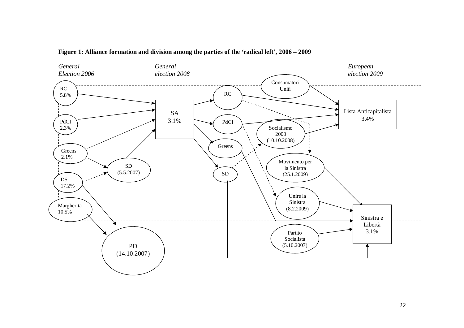

# **Figure 1: Alliance formation and division among the parties of the 'radical left', 2006 – 2009**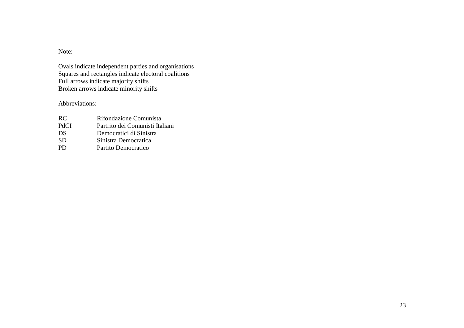Note:

Ovals indicate independent parties and organisations Squares and rectangles indicate electoral coalitions Full arrows indicate majority shifts Broken arrows indicate minority shifts

# Abbreviations:

| Rifondazione Comunista          |
|---------------------------------|
| Partrito dei Comunisti Italiani |
| Democratici di Sinistra         |
| Sinistra Democratica            |
| Partito Democratico             |
|                                 |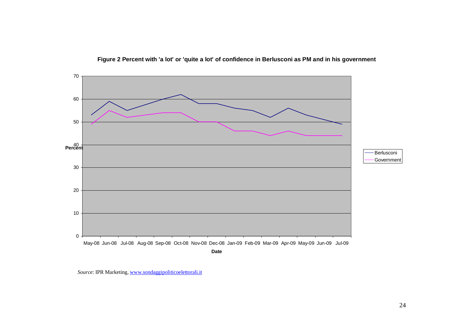

**Figure 2 Percent with 'a lot' or 'quite a lot' of confidence in Berlusconi as PM and in his government**

*Source*: IPR Marketing, www.sondaggipoliticoelettorali.it